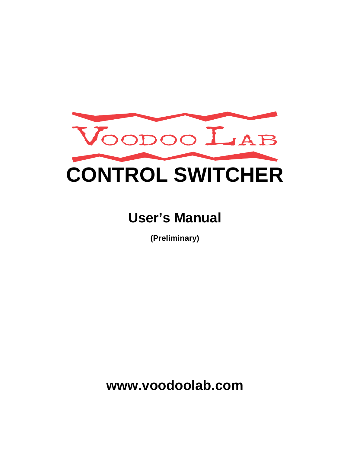

# **User's Manual**

**(Preliminary)** 

**www.voodoolab.com**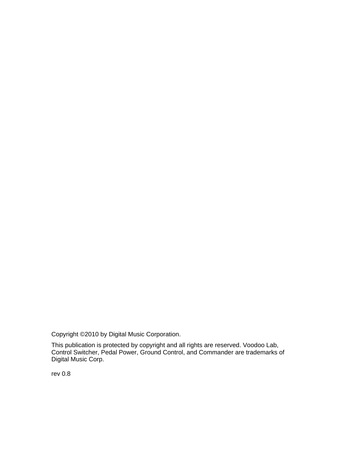Copyright ©2010 by Digital Music Corporation.

This publication is protected by copyright and all rights are reserved. Voodoo Lab, Control Switcher, Pedal Power, Ground Control, and Commander are trademarks of Digital Music Corp.

rev 0.8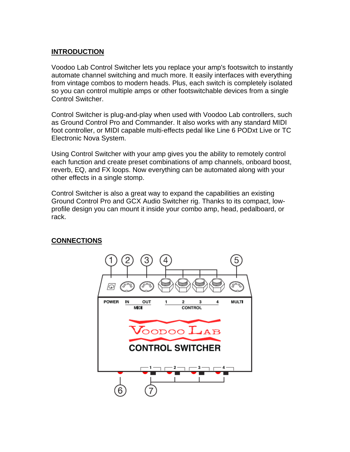## **INTRODUCTION**

Voodoo Lab Control Switcher lets you replace your amp's footswitch to instantly automate channel switching and much more. It easily interfaces with everything from vintage combos to modern heads. Plus, each switch is completely isolated so you can control multiple amps or other footswitchable devices from a single Control Switcher.

Control Switcher is plug-and-play when used with Voodoo Lab controllers, such as Ground Control Pro and Commander. It also works with any standard MIDI foot controller, or MIDI capable multi-effects pedal like Line 6 PODxt Live or TC Electronic Nova System.

Using Control Switcher with your amp gives you the ability to remotely control each function and create preset combinations of amp channels, onboard boost, reverb, EQ, and FX loops. Now everything can be automated along with your other effects in a single stomp.

Control Switcher is also a great way to expand the capabilities an existing Ground Control Pro and GCX Audio Switcher rig. Thanks to its compact, lowprofile design you can mount it inside your combo amp, head, pedalboard, or rack.

### **CONNECTIONS**

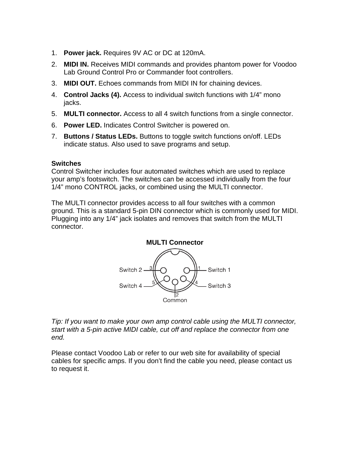- 1. **Power jack.** Requires 9V AC or DC at 120mA.
- 2. **MIDI IN.** Receives MIDI commands and provides phantom power for Voodoo Lab Ground Control Pro or Commander foot controllers.
- 3. **MIDI OUT.** Echoes commands from MIDI IN for chaining devices.
- 4. **Control Jacks (4).** Access to individual switch functions with 1/4" mono jacks.
- 5. **MULTI connector.** Access to all 4 switch functions from a single connector.
- 6. **Power LED.** Indicates Control Switcher is powered on.
- 7. **Buttons / Status LEDs.** Buttons to toggle switch functions on/off. LEDs indicate status. Also used to save programs and setup.

## **Switches**

Control Switcher includes four automated switches which are used to replace your amp's footswitch. The switches can be accessed individually from the four 1/4" mono CONTROL jacks, or combined using the MULTI connector.

The MULTI connector provides access to all four switches with a common ground. This is a standard 5-pin DIN connector which is commonly used for MIDI. Plugging into any 1/4" jack isolates and removes that switch from the MULTI connector.



*Tip: If you want to make your own amp control cable using the MULTI connector, start with a 5-pin active MIDI cable, cut off and replace the connector from one end.* 

Please contact Voodoo Lab or refer to our web site for availability of special cables for specific amps. If you don't find the cable you need, please contact us to request it.

### **MULTI Connector**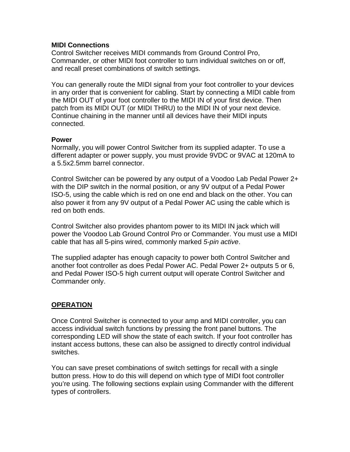#### **MIDI Connections**

Control Switcher receives MIDI commands from Ground Control Pro, Commander, or other MIDI foot controller to turn individual switches on or off, and recall preset combinations of switch settings.

You can generally route the MIDI signal from your foot controller to your devices in any order that is convenient for cabling. Start by connecting a MIDI cable from the MIDI OUT of your foot controller to the MIDI IN of your first device. Then patch from its MIDI OUT (or MIDI THRU) to the MIDI IN of your next device. Continue chaining in the manner until all devices have their MIDI inputs connected.

#### **Power**

Normally, you will power Control Switcher from its supplied adapter. To use a different adapter or power supply, you must provide 9VDC or 9VAC at 120mA to a 5.5x2.5mm barrel connector.

Control Switcher can be powered by any output of a Voodoo Lab Pedal Power 2+ with the DIP switch in the normal position, or any 9V output of a Pedal Power ISO-5, using the cable which is red on one end and black on the other. You can also power it from any 9V output of a Pedal Power AC using the cable which is red on both ends.

Control Switcher also provides phantom power to its MIDI IN jack which will power the Voodoo Lab Ground Control Pro or Commander. You must use a MIDI cable that has all 5-pins wired, commonly marked *5-pin active*.

The supplied adapter has enough capacity to power both Control Switcher and another foot controller as does Pedal Power AC. Pedal Power 2+ outputs 5 or 6, and Pedal Power ISO-5 high current output will operate Control Switcher and Commander only.

## **OPERATION**

Once Control Switcher is connected to your amp and MIDI controller, you can access individual switch functions by pressing the front panel buttons. The corresponding LED will show the state of each switch. If your foot controller has instant access buttons, these can also be assigned to directly control individual switches.

You can save preset combinations of switch settings for recall with a single button press. How to do this will depend on which type of MIDI foot controller you're using. The following sections explain using Commander with the different types of controllers.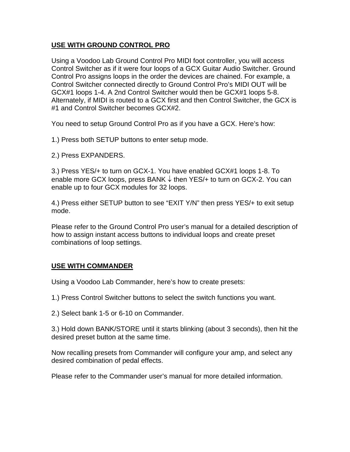## **USE WITH GROUND CONTROL PRO**

Using a Voodoo Lab Ground Control Pro MIDI foot controller, you will access Control Switcher as if it were four loops of a GCX Guitar Audio Switcher. Ground Control Pro assigns loops in the order the devices are chained. For example, a Control Switcher connected directly to Ground Control Pro's MIDI OUT will be GCX#1 loops 1-4. A 2nd Control Switcher would then be GCX#1 loops 5-8. Alternately, if MIDI is routed to a GCX first and then Control Switcher, the GCX is #1 and Control Switcher becomes GCX#2.

You need to setup Ground Control Pro as if you have a GCX. Here's how:

1.) Press both SETUP buttons to enter setup mode.

2.) Press EXPANDERS.

3.) Press YES/+ to turn on GCX-1. You have enabled GCX#1 loops 1-8. To enable more GCX loops, press BANK  $\downarrow$  then YES/+ to turn on GCX-2. You can enable up to four GCX modules for 32 loops.

4.) Press either SETUP button to see "EXIT Y/N" then press YES/+ to exit setup mode.

Please refer to the Ground Control Pro user's manual for a detailed description of how to assign instant access buttons to individual loops and create preset combinations of loop settings.

## **USE WITH COMMANDER**

Using a Voodoo Lab Commander, here's how to create presets:

1.) Press Control Switcher buttons to select the switch functions you want.

2.) Select bank 1-5 or 6-10 on Commander.

3.) Hold down BANK/STORE until it starts blinking (about 3 seconds), then hit the desired preset button at the same time.

Now recalling presets from Commander will configure your amp, and select any desired combination of pedal effects.

Please refer to the Commander user's manual for more detailed information.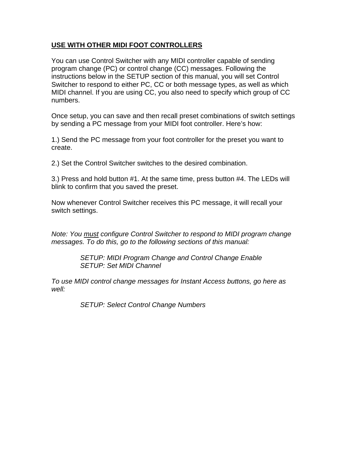## **USE WITH OTHER MIDI FOOT CONTROLLERS**

You can use Control Switcher with any MIDI controller capable of sending program change (PC) or control change (CC) messages. Following the instructions below in the SETUP section of this manual, you will set Control Switcher to respond to either PC, CC or both message types, as well as which MIDI channel. If you are using CC, you also need to specify which group of CC numbers.

Once setup, you can save and then recall preset combinations of switch settings by sending a PC message from your MIDI foot controller. Here's how:

1.) Send the PC message from your foot controller for the preset you want to create.

2.) Set the Control Switcher switches to the desired combination.

3.) Press and hold button #1. At the same time, press button #4. The LEDs will blink to confirm that you saved the preset.

Now whenever Control Switcher receives this PC message, it will recall your switch settings.

*Note: You must configure Control Switcher to respond to MIDI program change messages. To do this, go to the following sections of this manual:* 

> *SETUP: MIDI Program Change and Control Change Enable SETUP: Set MIDI Channel*

*To use MIDI control change messages for Instant Access buttons, go here as well:* 

 *SETUP: Select Control Change Numbers*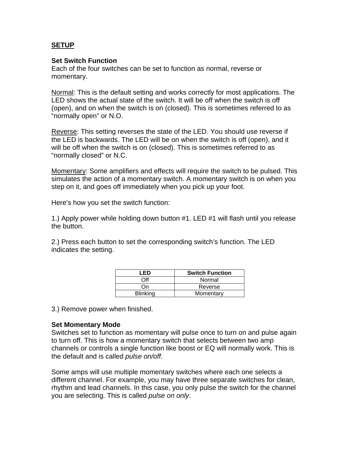## **SETUP**

#### **Set Switch Function**

Each of the four switches can be set to function as normal, reverse or momentary.

Normal: This is the default setting and works correctly for most applications. The LED shows the actual state of the switch. It will be off when the switch is off (open), and on when the switch is on (closed). This is sometimes referred to as "normally open" or N.O.

Reverse: This setting reverses the state of the LED. You should use reverse if the LED is backwards. The LED will be on when the switch is off (open), and it will be off when the switch is on (closed). This is sometimes referred to as "normally closed" or N.C.

Momentary: Some amplifiers and effects will require the switch to be pulsed. This simulates the action of a momentary switch. A momentary switch is on when you step on it, and goes off immediately when you pick up your foot.

Here's how you set the switch function:

1.) Apply power while holding down button #1. LED #1 will flash until you release the button.

2.) Press each button to set the corresponding switch's function. The LED indicates the setting.

| I ED            | <b>Switch Function</b> |
|-----------------|------------------------|
| าff             | Normal                 |
| Ωn              | Reverse                |
| <b>Blinking</b> | Momentary              |

3.) Remove power when finished.

### **Set Momentary Mode**

Switches set to function as momentary will pulse once to turn on and pulse again to turn off. This is how a momentary switch that selects between two amp channels or controls a single function like boost or EQ will normally work. This is the default and is called *pulse on/off*.

Some amps will use multiple momentary switches where each one selects a different channel. For example, you may have three separate switches for clean, rhythm and lead channels. In this case, you only pulse the switch for the channel you are selecting. This is called *pulse on only*.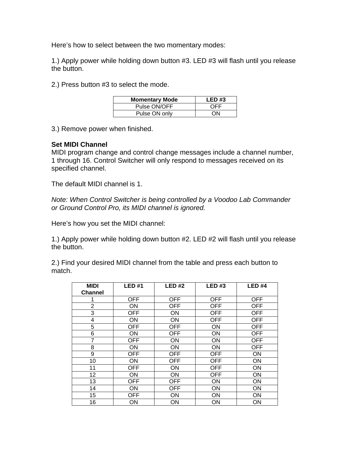Here's how to select between the two momentary modes:

1.) Apply power while holding down button #3. LED #3 will flash until you release the button.

2.) Press button #3 to select the mode.

| <b>Momentary Mode</b> | LED#3 |
|-----------------------|-------|
| Pulse ON/OFF          | OFF   |
| Pulse ON only         | ΩN    |

3.) Remove power when finished.

#### **Set MIDI Channel**

MIDI program change and control change messages include a channel number, 1 through 16. Control Switcher will only respond to messages received on its specified channel.

The default MIDI channel is 1.

*Note: When Control Switcher is being controlled by a Voodoo Lab Commander or Ground Control Pro, its MIDI channel is ignored.* 

Here's how you set the MIDI channel:

1.) Apply power while holding down button #2. LED #2 will flash until you release the button.

2.) Find your desired MIDI channel from the table and press each button to match.

| <b>MIDI</b>    | <b>LED#1</b> | LED#2      | LED#3      | LED#4      |
|----------------|--------------|------------|------------|------------|
| <b>Channel</b> |              |            |            |            |
|                | <b>OFF</b>   | <b>OFF</b> | <b>OFF</b> | <b>OFF</b> |
| $\overline{2}$ | ON           | <b>OFF</b> | <b>OFF</b> | <b>OFF</b> |
| 3              | <b>OFF</b>   | ON         | <b>OFF</b> | <b>OFF</b> |
| 4              | <b>ON</b>    | ON         | <b>OFF</b> | <b>OFF</b> |
| 5              | <b>OFF</b>   | <b>OFF</b> | ON         | <b>OFF</b> |
| 6              | ON           | <b>OFF</b> | ON         | <b>OFF</b> |
| $\overline{7}$ | <b>OFF</b>   | ON         | <b>ON</b>  | <b>OFF</b> |
| 8              | ON           | ON         | ON         | <b>OFF</b> |
| 9              | <b>OFF</b>   | <b>OFF</b> | <b>OFF</b> | ON         |
| 10             | <b>ON</b>    | <b>OFF</b> | <b>OFF</b> | ON         |
| 11             | <b>OFF</b>   | ON         | <b>OFF</b> | ON         |
| 12             | ON           | ON         | <b>OFF</b> | ON         |
| 13             | <b>OFF</b>   | <b>OFF</b> | ON         | ON         |
| 14             | ON           | <b>OFF</b> | ON         | ON         |
| 15             | <b>OFF</b>   | ON         | ON         | ON         |
| 16             | ON           | ON         | ON         | ON         |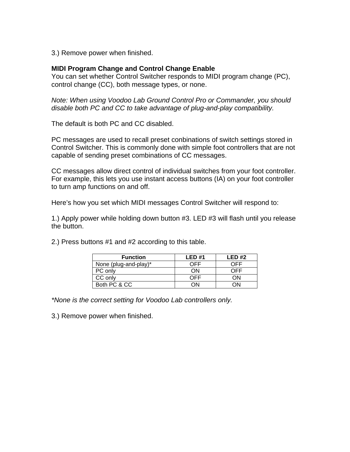3.) Remove power when finished.

#### **MIDI Program Change and Control Change Enable**

You can set whether Control Switcher responds to MIDI program change (PC), control change (CC), both message types, or none.

*Note: When using Voodoo Lab Ground Control Pro or Commander, you should disable both PC and CC to take advantage of plug-and-play compatibility.* 

The default is both PC and CC disabled.

PC messages are used to recall preset conbinations of switch settings stored in Control Switcher. This is commonly done with simple foot controllers that are not capable of sending preset combinations of CC messages.

CC messages allow direct control of individual switches from your foot controller. For example, this lets you use instant access buttons (IA) on your foot controller to turn amp functions on and off.

Here's how you set which MIDI messages Control Switcher will respond to:

1.) Apply power while holding down button #3. LED #3 will flash until you release the button.

2.) Press buttons #1 and #2 according to this table.

| <b>Function</b>       | LED#1      | LED#2 |
|-----------------------|------------|-------|
| None (plug-and-play)* | <b>DEE</b> | OFF   |
| PC only               | ΟN         | ∩FF   |
| CC only               |            | ٦N    |
| Both PC & CC          | nn.        |       |

*\*None is the correct setting for Voodoo Lab controllers only.* 

3.) Remove power when finished.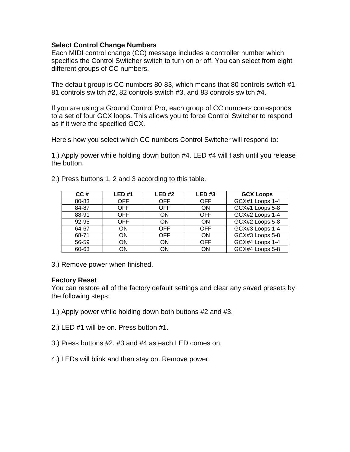#### **Select Control Change Numbers**

Each MIDI control change (CC) message includes a controller number which specifies the Control Switcher switch to turn on or off. You can select from eight different groups of CC numbers.

The default group is CC numbers 80-83, which means that 80 controls switch #1, 81 controls switch #2, 82 controls switch #3, and 83 controls switch #4.

If you are using a Ground Control Pro, each group of CC numbers corresponds to a set of four GCX loops. This allows you to force Control Switcher to respond as if it were the specified GCX.

Here's how you select which CC numbers Control Switcher will respond to:

1.) Apply power while holding down button #4. LED #4 will flash until you release the button.

| CC#   | <b>LED #1</b> | LED#2      | LED#3      | <b>GCX Loops</b> |
|-------|---------------|------------|------------|------------------|
| 80-83 | <b>OFF</b>    | <b>OFF</b> | <b>OFF</b> | GCX#1 Loops 1-4  |
| 84-87 | <b>OFF</b>    | <b>OFF</b> | <b>ON</b>  | GCX#1 Loops 5-8  |
| 88-91 | <b>OFF</b>    | ON         | <b>OFF</b> | GCX#2 Loops 1-4  |
| 92-95 | <b>OFF</b>    | ON         | <b>ON</b>  | GCX#2 Loops 5-8  |
| 64-67 | <b>ON</b>     | <b>OFF</b> | <b>OFF</b> | GCX#3 Loops 1-4  |
| 68-71 | <b>ON</b>     | <b>OFF</b> | <b>ON</b>  | GCX#3 Loops 5-8  |
| 56-59 | <b>ON</b>     | ON         | <b>OFF</b> | GCX#4 Loops 1-4  |
| 60-63 | ON            | ON         | ΟN         | GCX#4 Loops 5-8  |

2.) Press buttons 1, 2 and 3 according to this table.

3.) Remove power when finished.

#### **Factory Reset**

You can restore all of the factory default settings and clear any saved presets by the following steps:

- 1.) Apply power while holding down both buttons #2 and #3.
- 2.) LED #1 will be on. Press button #1.
- 3.) Press buttons #2, #3 and #4 as each LED comes on.
- 4.) LEDs will blink and then stay on. Remove power.